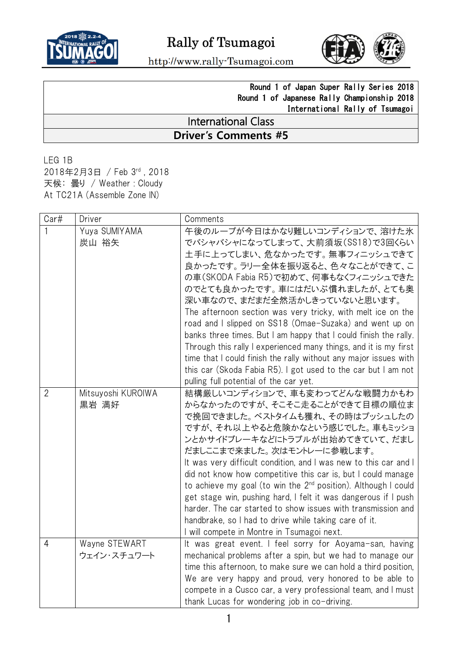



http://www.rally-Tsumagoi.com

## Round 1 of Japan Super Rally Series 2018 Round 1 of Japanese Rally Championship 2018 International Rally of Tsumagoi

## International Class **Driver's Comments #5**

LEG 1B 2018年2月3日 / Feb 3 rd , 2018 天候: 曇り / Weather : Cloudy At TC21A (Assemble Zone IN)

| Car#           | Driver                       | Comments                                                                                                                                                                                                                                                                                                                                                                                                                                                                                                                                                                                                                                                                                         |
|----------------|------------------------------|--------------------------------------------------------------------------------------------------------------------------------------------------------------------------------------------------------------------------------------------------------------------------------------------------------------------------------------------------------------------------------------------------------------------------------------------------------------------------------------------------------------------------------------------------------------------------------------------------------------------------------------------------------------------------------------------------|
|                | Yuya SUMIYAMA<br>炭山 裕矢       | 午後のループが今日はかなり難しいコンディションで、溶けた氷<br>でバシャバシャになってしまって、大前須坂(SS18)で3回くらい<br>土手に上ってしまい、危なかったです。無事フィニッシュできて<br>良かったです。ラリー全体を振り返ると、色々なことができて、こ<br>の車(SKODA Fabia R5)で初めて、何事もなくフィニッシュできた<br>のでとても良かったです。車にはだいぶ慣れましたが、とても奥<br>深い車なので、まだまだ全然活かしきっていないと思います。<br>The afternoon section was very tricky, with melt ice on the<br>road and I slipped on SS18 (Omae-Suzaka) and went up on<br>banks three times. But I am happy that I could finish the rally.<br>Through this rally I experienced many things, and it is my first<br>time that I could finish the rally without any major issues with<br>this car (Skoda Fabia R5). I got used to the car but I am not                                            |
| $\overline{2}$ | Mitsuyoshi KUROIWA<br>黒岩 満好  | pulling full potential of the car yet.<br>結構厳しいコンディションで、車も変わってどんな戦闘力かもわ<br>からなかったのですが、そこそこ走ることができて目標の順位ま<br>で挽回できました。ベストタイムも獲れ、その時はプッシュしたの<br>ですが、それ以上やると危険かなという感じでした。車もミッショ<br>ンとかサイドブレーキなどにトラブルが出始めてきていて、だまし<br>だましここまで来ました。次はモントレーに参戦します。<br>It was very difficult condition, and I was new to this car and I<br>did not know how competitive this car is, but I could manage<br>to achieve my goal (to win the $2^{nd}$ position). Although I could<br>get stage win, pushing hard, I felt it was dangerous if I push<br>harder. The car started to show issues with transmission and<br>handbrake, so I had to drive while taking care of it.<br>I will compete in Montre in Tsumagoi next. |
| 4              | Wayne STEWART<br>ウェイン・スチュワート | It was great event. I feel sorry for Aoyama-san, having<br>mechanical problems after a spin, but we had to manage our<br>time this afternoon, to make sure we can hold a third position,<br>We are very happy and proud, very honored to be able to<br>compete in a Cusco car, a very professional team, and I must<br>thank Lucas for wondering job in co-driving.                                                                                                                                                                                                                                                                                                                              |